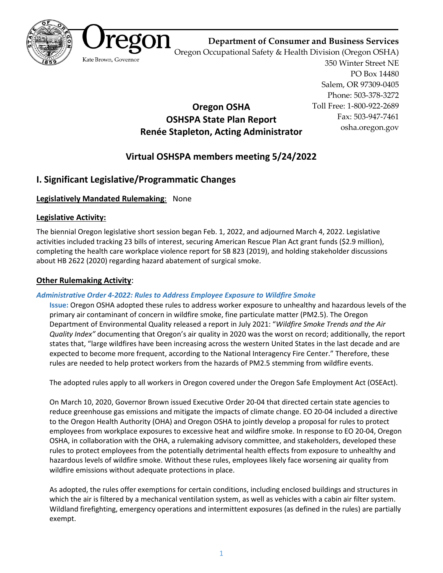



**Department of Consumer and Business Services**

Oregon Occupational Safety & Health Division (Oregon OSHA)

350 Winter Street NE PO Box 14480 Salem, OR 97309-0405 Phone: 503-378-3272 Toll Free: 1-800-922-2689 Fax: 503-947-7461 osha.oregon.gov

# **Renée Stapleton, Acting Administrator**

**Oregon OSHA OSHSPA State Plan Report**

# **Virtual OSHSPA members meeting 5/24/2022**

## **I. Significant Legislative/Programmatic Changes**

## **Legislatively Mandated Rulemaking**: None

## **Legislative Activity:**

The biennial Oregon legislative short session began Feb. 1, 2022, and adjourned March 4, 2022. Legislative activities included tracking 23 bills of interest, securing American Rescue Plan Act grant funds (\$2.9 million), completing the health care workplace violence report for [SB 823](https://olis.oregonlegislature.gov/liz/2019R1/Downloads/MeasureDocument/SB823/Enrolled) (2019), and holding stakeholder discussions about [HB 2622](https://olis.oregonlegislature.gov/liz/2021R1/Downloads/MeasureDocument/HB2622/Enrolled) (2020) regarding hazard abatement of surgical smoke.

## **Other Rulemaking Activity**:

## *Administrative Order 4-2022: Rules to Address Employee Exposure to Wildfire Smoke*

**Issue:** Oregon OSHA adopted these rules to address worker exposure to unhealthy and hazardous levels of the primary air contaminant of concern in wildfire smoke, fine particulate matter (PM2.5). The Oregon Department of Environmental Quality released a report in July 2021: "*Wildfire Smoke Trends and the Air Quality Index"* documenting that Oregon's air quality in 2020 was the worst on record; additionally, the report states that, "large wildfires have been increasing across the western United States in the last decade and are expected to become more frequent, according to the National Interagency Fire Center." Therefore, these rules are needed to help protect workers from the hazards of PM2.5 stemming from wildfire events.

The adopted rules apply to all workers in Oregon covered under the Oregon Safe Employment Act (OSEAct).

On March 10, 2020, Governor Brown issued Executive Order 20-04 that directed certain state agencies to reduce greenhouse gas emissions and mitigate the impacts of climate change. EO 20-04 included a directive to the Oregon Health Authority (OHA) and Oregon OSHA to jointly develop a proposal for rules to protect employees from workplace exposures to excessive heat and wildfire smoke. In response to EO 20-04, Oregon OSHA, in collaboration with the OHA, a rulemaking advisory committee, and stakeholders, developed these rules to protect employees from the potentially detrimental health effects from exposure to unhealthy and hazardous levels of wildfire smoke. Without these rules, employees likely face worsening air quality from wildfire emissions without adequate protections in place.

As adopted, the rules offer exemptions for certain conditions, including enclosed buildings and structures in which the air is filtered by a mechanical ventilation system, as well as vehicles with a cabin air filter system. Wildland firefighting, emergency operations and intermittent exposures (as defined in the rules) are partially exempt.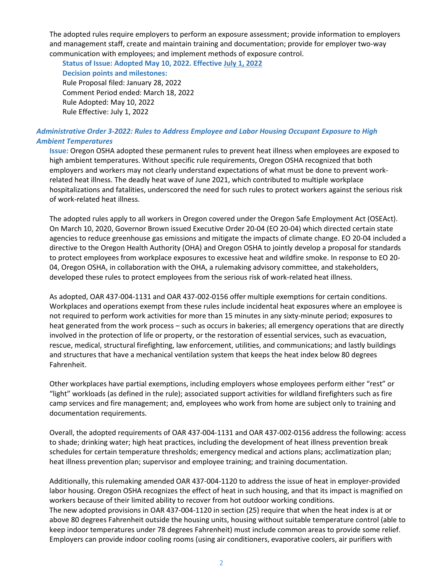The adopted rules require employers to perform an exposure assessment; provide information to employers and management staff, create and maintain training and documentation; provide for employer two-way communication with employees; and implement methods of exposure control.

**Status of Issue: Adopted May 10, 2022. Effective July 1, 2022**

**Decision points and milestones:** Rule Proposal filed: January 28, 2022 Comment Period ended: March 18, 2022 Rule Adopted: May 10, 2022

Rule Effective: July 1, 2022

#### *Administrative Order 3-2022: Rules to Address Employee and Labor Housing Occupant Exposure to High Ambient Temperatures*

**Issue:** Oregon OSHA adopted these permanent rules to prevent heat illness when employees are exposed to high ambient temperatures. Without specific rule requirements, Oregon OSHA recognized that both employers and workers may not clearly understand expectations of what must be done to prevent workrelated heat illness. The deadly heat wave of June 2021, which contributed to multiple workplace hospitalizations and fatalities, underscored the need for such rules to protect workers against the serious risk of work-related heat illness.

The adopted rules apply to all workers in Oregon covered under the Oregon Safe Employment Act (OSEAct). On March 10, 2020, Governor Brown issued Executive Order 20-04 (EO 20-04) which directed certain state agencies to reduce greenhouse gas emissions and mitigate the impacts of climate change. EO 20-04 included a directive to the Oregon Health Authority (OHA) and Oregon OSHA to jointly develop a proposal for standards to protect employees from workplace exposures to excessive heat and wildfire smoke. In response to EO 20- 04, Oregon OSHA, in collaboration with the OHA, a rulemaking advisory committee, and stakeholders, developed these rules to protect employees from the serious risk of work-related heat illness.

As adopted, OAR 437-004-1131 and OAR 437-002-0156 offer multiple exemptions for certain conditions. Workplaces and operations exempt from these rules include incidental heat exposures where an employee is not required to perform work activities for more than 15 minutes in any sixty-minute period; exposures to heat generated from the work process – such as occurs in bakeries; all emergency operations that are directly involved in the protection of life or property, or the restoration of essential services, such as evacuation, rescue, medical, structural firefighting, law enforcement, utilities, and communications; and lastly buildings and structures that have a mechanical ventilation system that keeps the heat index below 80 degrees Fahrenheit.

Other workplaces have partial exemptions, including employers whose employees perform either "rest" or "light" workloads (as defined in the rule); associated support activities for wildland firefighters such as fire camp services and fire management; and, employees who work from home are subject only to training and documentation requirements.

Overall, the adopted requirements of OAR 437-004-1131 and OAR 437-002-0156 address the following: access to shade; drinking water; high heat practices, including the development of heat illness prevention break schedules for certain temperature thresholds; emergency medical and actions plans; acclimatization plan; heat illness prevention plan; supervisor and employee training; and training documentation.

Additionally, this rulemaking amended OAR 437-004-1120 to address the issue of heat in employer-provided labor housing. Oregon OSHA recognizes the effect of heat in such housing, and that its impact is magnified on workers because of their limited ability to recover from hot outdoor working conditions. The new adopted provisions in OAR 437-004-1120 in section (25) require that when the heat index is at or above 80 degrees Fahrenheit outside the housing units, housing without suitable temperature control (able to keep indoor temperatures under 78 degrees Fahrenheit) must include common areas to provide some relief. Employers can provide indoor cooling rooms (using air conditioners, evaporative coolers, air purifiers with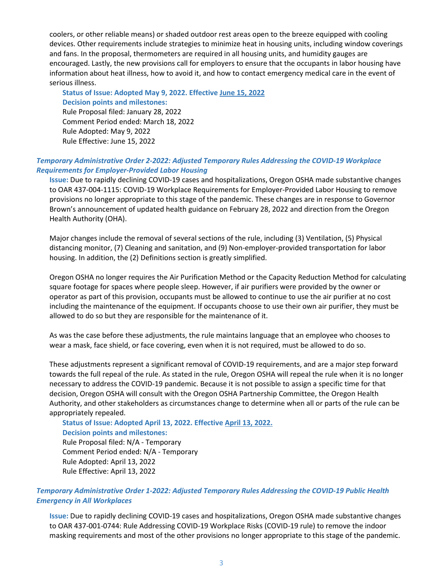coolers, or other reliable means) or shaded outdoor rest areas open to the breeze equipped with cooling devices. Other requirements include strategies to minimize heat in housing units, including window coverings and fans. In the proposal, thermometers are required in all housing units, and humidity gauges are encouraged. Lastly, the new provisions call for employers to ensure that the occupants in labor housing have information about heat illness, how to avoid it, and how to contact emergency medical care in the event of serious illness.

**Status of Issue: Adopted May 9, 2022. Effective June 15, 2022 Decision points and milestones:** Rule Proposal filed: January 28, 2022 Comment Period ended: March 18, 2022 Rule Adopted: May 9, 2022 Rule Effective: June 15, 2022

#### *Temporary Administrative Order 2-2022: Adjusted Temporary Rules Addressing the COVID-19 Workplace Requirements for Employer-Provided Labor Housing*

**Issue:** Due to rapidly declining COVID-19 cases and hospitalizations, Oregon OSHA made substantive changes to OAR 437-004-1115: COVID-19 Workplace Requirements for Employer-Provided Labor Housing to remove provisions no longer appropriate to this stage of the pandemic. These changes are in response to Governor Brown's announcement of updated health guidance on February 28, 2022 and direction from the Oregon Health Authority (OHA).

Major changes include the removal of several sections of the rule, including (3) Ventilation, (5) Physical distancing monitor, (7) Cleaning and sanitation, and (9) Non-employer-provided transportation for labor housing. In addition, the (2) Definitions section is greatly simplified.

Oregon OSHA no longer requires the Air Purification Method or the Capacity Reduction Method for calculating square footage for spaces where people sleep. However, if air purifiers were provided by the owner or operator as part of this provision, occupants must be allowed to continue to use the air purifier at no cost including the maintenance of the equipment. If occupants choose to use their own air purifier, they must be allowed to do so but they are responsible for the maintenance of it.

As was the case before these adjustments, the rule maintains language that an employee who chooses to wear a mask, face shield, or face covering, even when it is not required, must be allowed to do so.

These adjustments represent a significant removal of COVID-19 requirements, and are a major step forward towards the full repeal of the rule. As stated in the rule, Oregon OSHA will repeal the rule when it is no longer necessary to address the COVID-19 pandemic. Because it is not possible to assign a specific time for that decision, Oregon OSHA will consult with the Oregon OSHA Partnership Committee, the Oregon Health Authority, and other stakeholders as circumstances change to determine when all or parts of the rule can be appropriately repealed.

**Status of Issue: Adopted April 13, 2022. Effective April 13, 2022. Decision points and milestones:** Rule Proposal filed: N/A - Temporary Comment Period ended: N/A - Temporary Rule Adopted: April 13, 2022 Rule Effective: April 13, 2022

#### *Temporary Administrative Order 1-2022: Adjusted Temporary Rules Addressing the COVID-19 Public Health Emergency in All Workplaces*

**Issue:** Due to rapidly declining COVID-19 cases and hospitalizations, Oregon OSHA made substantive changes to OAR 437-001-0744: Rule Addressing COVID-19 Workplace Risks (COVID-19 rule) to remove the indoor masking requirements and most of the other provisions no longer appropriate to this stage of the pandemic.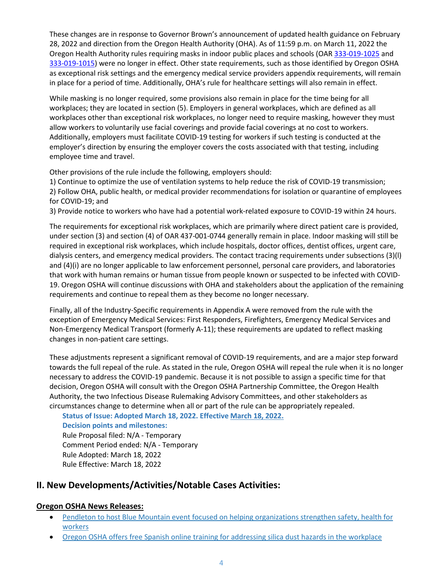These changes are in response to Governor Brown's announcement of updated health guidance on February 28, 2022 and direction from the Oregon Health Authority (OHA). As of 11:59 p.m. on March 11, 2022 the Oregon Health Authority rules requiring masks in indoor public places and schools (OAR [333-019-1025](https://sharedsystems.dhsoha.state.or.us/DHSForms/Served/le4141.pdf) and [333-019-1015\)](https://sharedsystems.dhsoha.state.or.us/DHSForms/Served/le4140.pdf) were no longer in effect. Other state requirements, such as those identified by Oregon OSHA as exceptional risk settings and the emergency medical service providers appendix requirements, will remain in place for a period of time. Additionally, OHA's rule for healthcare settings will also remain in effect.

While masking is no longer required, some provisions also remain in place for the time being for all workplaces; they are located in section (5). Employers in general workplaces, which are defined as all workplaces other than exceptional risk workplaces, no longer need to require masking, however they must allow workers to voluntarily use facial coverings and provide facial coverings at no cost to workers. Additionally, employers must facilitate COVID-19 testing for workers if such testing is conducted at the employer's direction by ensuring the employer covers the costs associated with that testing, including employee time and travel.

Other provisions of the rule include the following, employers should:

1) Continue to optimize the use of ventilation systems to help reduce the risk of COVID-19 transmission; 2) Follow OHA, public health, or medical provider recommendations for isolation or quarantine of employees for COVID-19; and

3) Provide notice to workers who have had a potential work-related exposure to COVID-19 within 24 hours.

The requirements for exceptional risk workplaces, which are primarily where direct patient care is provided, under section (3) and section (4) of OAR 437-001-0744 generally remain in place. Indoor masking will still be required in exceptional risk workplaces, which include hospitals, doctor offices, dentist offices, urgent care, dialysis centers, and emergency medical providers. The contact tracing requirements under subsections (3)(l) and (4)(i) are no longer applicable to law enforcement personnel, personal care providers, and laboratories that work with human remains or human tissue from people known or suspected to be infected with COVID-19. Oregon OSHA will continue discussions with OHA and stakeholders about the application of the remaining requirements and continue to repeal them as they become no longer necessary.

Finally, all of the Industry-Specific requirements in Appendix A were removed from the rule with the exception of Emergency Medical Services: First Responders, Firefighters, Emergency Medical Services and Non-Emergency Medical Transport (formerly A-11); these requirements are updated to reflect masking changes in non-patient care settings.

These adjustments represent a significant removal of COVID-19 requirements, and are a major step forward towards the full repeal of the rule. As stated in the rule, Oregon OSHA will repeal the rule when it is no longer necessary to address the COVID-19 pandemic. Because it is not possible to assign a specific time for that decision, Oregon OSHA will consult with the Oregon OSHA Partnership Committee, the Oregon Health Authority, the two Infectious Disease Rulemaking Advisory Committees, and other stakeholders as circumstances change to determine when all or part of the rule can be appropriately repealed.

**Status of Issue: Adopted March 18, 2022. Effective March 18, 2022. Decision points and milestones:**

Rule Proposal filed: N/A - Temporary Comment Period ended: N/A - Temporary Rule Adopted: March 18, 2022 Rule Effective: March 18, 2022

## **II. New Developments/Activities/Notable Cases Activities:**

## **Oregon OSHA News Releases:**

- [Pendleton to host Blue Mountain event focused on helping organizations strengthen safety, health for](https://osha.oregon.gov/news/2022/Pages/nr2022-09.aspx)  [workers](https://osha.oregon.gov/news/2022/Pages/nr2022-09.aspx)
- [Oregon OSHA offers free Spanish online training for addressing silica dust hazards in the workplace](https://osha.oregon.gov/news/2022/Pages/nr2022-08.aspx)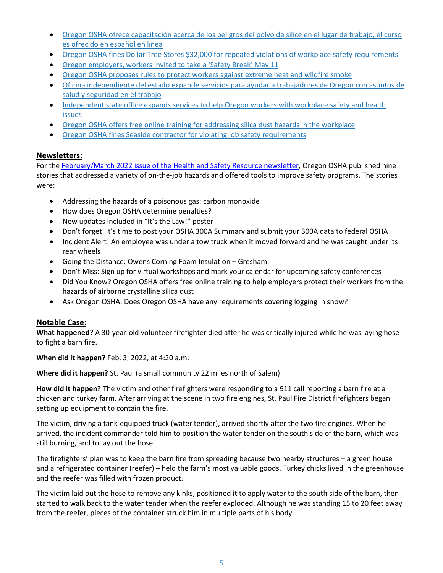- [Oregon OSHA ofrece capacitación acerca de los peligros del polvo de sílice en el lugar de trabajo, el curso](https://osha.oregon.gov/news/2022/Pages/nr2022-08sp.aspx)  [es ofrecido en español en línea](https://osha.oregon.gov/news/2022/Pages/nr2022-08sp.aspx)
- [Oregon OSHA fines Dollar Tree Stores \\$32,000 for repeated violations of workplace safety requirements](https://osha.oregon.gov/news/2022/Pages/nr2022-07.aspx)
- [Oregon employers, workers invited to take a 'Safety Break' May 11](https://osha.oregon.gov/news/2022/Pages/nr2022-06.aspx)
- [Oregon OSHA proposes rules to protect workers against extreme heat and wildfire smoke](https://osha.oregon.gov/news/2022/Pages/nr2022-05.aspx)
- [Oficina independiente del estado expande servicios para ayudar a trabajadores de Oregon con asuntos de](https://osha.oregon.gov/news/2022/Pages/nr2022-04.aspx)  [salud y seguridad en el trabajo](https://osha.oregon.gov/news/2022/Pages/nr2022-04.aspx)
- Independent state office expands services to help Oregon workers with workplace safety and health [issues](https://osha.oregon.gov/news/2022/Pages/nr2022-03.aspx)
- [Oregon OSHA offers free online training for addressing silica dust hazards in the workplace](https://osha.oregon.gov/news/2022/Pages/nr2022-02.aspx)
- [Oregon OSHA fines Seaside contractor for violating job safety requirements](https://osha.oregon.gov/news/2022/Pages/nr2022-01.aspx)

#### **Newsletters:**

For the [February/March 2022 issue of the Health and Safety Resource newsletter,](https://osha.oregon.gov/pubs/newsletters/resource/print/2850-2022-02.pdf) Oregon OSHA published nine stories that addressed a variety of on-the-job hazards and offered tools to improve safety programs. The stories were:

- Addressing the hazards of a poisonous gas: carbon monoxide
- How does Oregon OSHA determine penalties?
- New updates included in "It's the Law!" poster
- Don't forget: It's time to post your OSHA 300A Summary and submit your 300A data to federal OSHA
- Incident Alert! An employee was under a tow truck when it moved forward and he was caught under its rear wheels
- Going the Distance: Owens Corning Foam Insulation Gresham
- Don't Miss: Sign up for virtual workshops and mark your calendar for upcoming safety conferences
- Did You Know? Oregon OSHA offers free online training to help employers protect their workers from the hazards of airborne crystalline silica dust
- Ask Oregon OSHA: Does Oregon OSHA have any requirements covering logging in snow?

#### **Notable Case:**

**What happened?** A 30-year-old volunteer firefighter died after he was critically injured while he was laying hose to fight a barn fire.

**When did it happen?** Feb. 3, 2022, at 4:20 a.m.

**Where did it happen?** St. Paul (a small community 22 miles north of Salem)

**How did it happen?** The victim and other firefighters were responding to a 911 call reporting a barn fire at a chicken and turkey farm. After arriving at the scene in two fire engines, St. Paul Fire District firefighters began setting up equipment to contain the fire.

The victim, driving a tank-equipped truck (water tender), arrived shortly after the two fire engines. When he arrived, the incident commander told him to position the water tender on the south side of the barn, which was still burning, and to lay out the hose.

The firefighters' plan was to keep the barn fire from spreading because two nearby structures – a green house and a refrigerated container (reefer) – held the farm's most valuable goods. Turkey chicks lived in the greenhouse and the reefer was filled with frozen product.

The victim laid out the hose to remove any kinks, positioned it to apply water to the south side of the barn, then started to walk back to the water tender when the reefer exploded. Although he was standing 15 to 20 feet away from the reefer, pieces of the container struck him in multiple parts of his body.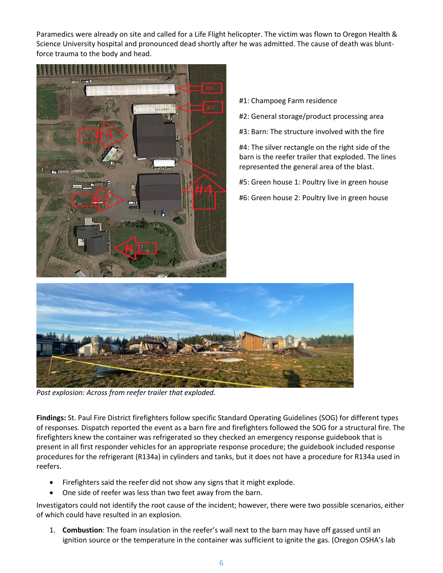Paramedics were already on site and called for a Life Flight helicopter. The victim was flown to Oregon Health & Science University hospital and pronounced dead shortly after he was admitted. The cause of death was bluntforce trauma to the body and head.



- #1: Champoeg Farm residence
- #2: General storage/product processing area
- #3: Barn: The structure involved with the fire

#4: The silver rectangle on the right side of the barn is the reefer trailer that exploded. The lines represented the general area of the blast.

- #5: Green house 1: Poultry live in green house
- #6: Green house 2: Poultry live in green house



*Post explosion: Across from reefer trailer that exploded.*

**Findings:** St. Paul Fire District firefighters follow specific Standard Operating Guidelines (SOG) for different types of responses. Dispatch reported the event as a barn fire and firefighters followed the SOG for a structural fire. The firefighters knew the container was refrigerated so they checked an emergency response guidebook that is present in all first responder vehicles for an appropriate response procedure; the guidebook included response procedures for the refrigerant (R134a) in cylinders and tanks, but it does not have a procedure for R134a used in reefers.

- Firefighters said the reefer did not show any signs that it might explode.
- One side of reefer was less than two feet away from the barn.

Investigators could not identify the root cause of the incident; however, there were two possible scenarios, either of which could have resulted in an explosion.

1. **Combustion**: The foam insulation in the reefer's wall next to the barn may have off gassed until an ignition source or the temperature in the container was sufficient to ignite the gas. (Oregon OSHA's lab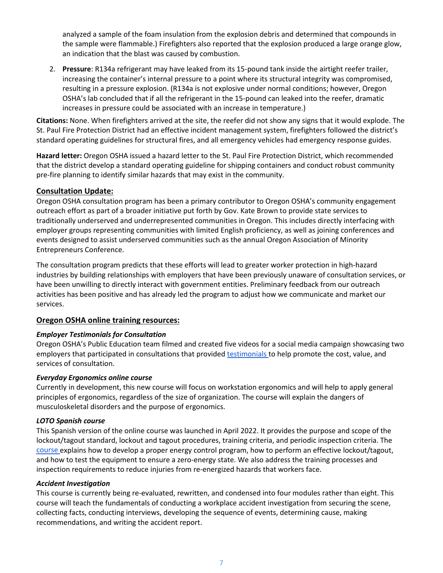analyzed a sample of the foam insulation from the explosion debris and determined that compounds in the sample were flammable.) Firefighters also reported that the explosion produced a large orange glow, an indication that the blast was caused by combustion.

2. **Pressure**: R134a refrigerant may have leaked from its 15-pound tank inside the airtight reefer trailer, increasing the container's internal pressure to a point where its structural integrity was compromised, resulting in a pressure explosion. (R134a is not explosive under normal conditions; however, Oregon OSHA's lab concluded that if all the refrigerant in the 15-pound can leaked into the reefer, dramatic increases in pressure could be associated with an increase in temperature.)

**Citations:** None. When firefighters arrived at the site, the reefer did not show any signs that it would explode. The St. Paul Fire Protection District had an effective incident management system, firefighters followed the district's standard operating guidelines for structural fires, and all emergency vehicles had emergency response guides.

**Hazard letter:** Oregon OSHA issued a hazard letter to the St. Paul Fire Protection District, which recommended that the district develop a standard operating guideline for shipping containers and conduct robust community pre-fire planning to identify similar hazards that may exist in the community.

#### **Consultation Update:**

Oregon OSHA consultation program has been a primary contributor to Oregon OSHA's community engagement outreach effort as part of a broader initiative put forth by Gov. Kate Brown to provide state services to traditionally underserved and underrepresented communities in Oregon. This includes directly interfacing with employer groups representing communities with limited English proficiency, as well as joining conferences and events designed to assist underserved communities such as the annual Oregon Association of Minority Entrepreneurs Conference.

The consultation program predicts that these efforts will lead to greater worker protection in high-hazard industries by building relationships with employers that have been previously unaware of consultation services, or have been unwilling to directly interact with government entities. Preliminary feedback from our outreach activities has been positive and has already led the program to adjust how we communicate and market our services.

#### **[Oregon OSHA online training resources:](https://osha.oregon.gov/edu/courses/Pages/default.aspx)**

#### *Employer Testimonials for Consultation*

Oregon OSHA's Public Education team filmed and created five videos for a social media campaign showcasing two employers that participated in consultations that provided [testimonials t](https://vimeo.com/693227744)o help promote the cost, value, and services of consultation.

#### *Everyday Ergonomics online course*

Currently in development, this new course will focus on workstation ergonomics and will help to apply general principles of ergonomics, regardless of the size of organization. The course will explain the dangers of musculoskeletal disorders and the purpose of ergonomics.

#### *LOTO Spanish course*

This Spanish version of the online course was launched in April 2022. It provides the purpose and scope of the lockout/tagout standard, lockout and tagout procedures, training criteria, and periodic inspection criteria. The [course e](https://osha.oregon.gov/edu/courses/Pages/whistleblower-online-course.aspx)xplains how to develop a proper energy control program, how to perform an effective lockout/tagout, and how to test the equipment to ensure a zero-energy state. We also address the training processes and inspection requirements to reduce injuries from re-energized hazards that workers face.

#### *Accident Investigation*

This course is currently being re-evaluated, rewritten, and condensed into four modules rather than eight. This course will teach the fundamentals of conducting a workplace accident investigation from securing the scene, collecting facts, conducting interviews, developing the sequence of events, determining cause, making recommendations, and writing the accident report.